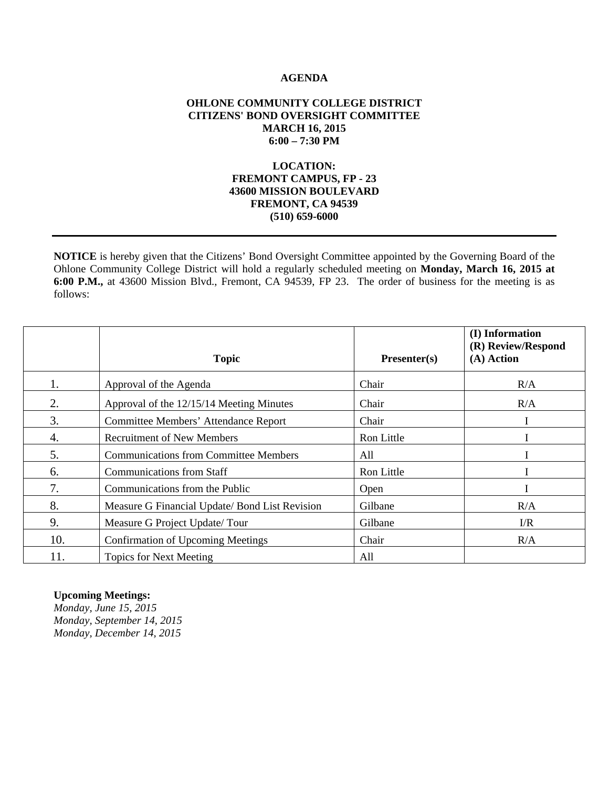#### **AGENDA**

#### **OHLONE COMMUNITY COLLEGE DISTRICT CITIZENS' BOND OVERSIGHT COMMITTEE MARCH 16, 2015 6:00 – 7:30 PM**

#### **LOCATION: FREMONT CAMPUS, FP - 23 43600 MISSION BOULEVARD FREMONT, CA 94539 (510) 659-6000**

**NOTICE** is hereby given that the Citizens' Bond Oversight Committee appointed by the Governing Board of the Ohlone Community College District will hold a regularly scheduled meeting on **Monday, March 16, 2015 at 6:00 P.M.,** at 43600 Mission Blvd., Fremont, CA 94539, FP 23. The order of business for the meeting is as follows:

|     | <b>Topic</b>                                   | $Presenter(s)$ | (I) Information<br>(R) Review/Respond<br>$(A)$ Action |
|-----|------------------------------------------------|----------------|-------------------------------------------------------|
| 1.  | Approval of the Agenda                         | Chair          | R/A                                                   |
| 2.  | Approval of the 12/15/14 Meeting Minutes       | Chair          | R/A                                                   |
| 3.  | <b>Committee Members' Attendance Report</b>    | Chair          |                                                       |
| 4.  | <b>Recruitment of New Members</b>              | Ron Little     |                                                       |
| 5.  | <b>Communications from Committee Members</b>   | All            |                                                       |
| 6.  | <b>Communications from Staff</b>               | Ron Little     |                                                       |
| 7.  | Communications from the Public                 | Open           |                                                       |
| 8.  | Measure G Financial Update/ Bond List Revision | Gilbane        | R/A                                                   |
| 9.  | Measure G Project Update/Tour                  | Gilbane        | $\Gamma/R$                                            |
| 10. | <b>Confirmation of Upcoming Meetings</b>       | Chair          | R/A                                                   |
| 11. | <b>Topics for Next Meeting</b>                 | All            |                                                       |

#### **Upcoming Meetings:**

*Monday, June 15, 2015 Monday, September 14, 2015 Monday, December 14, 2015*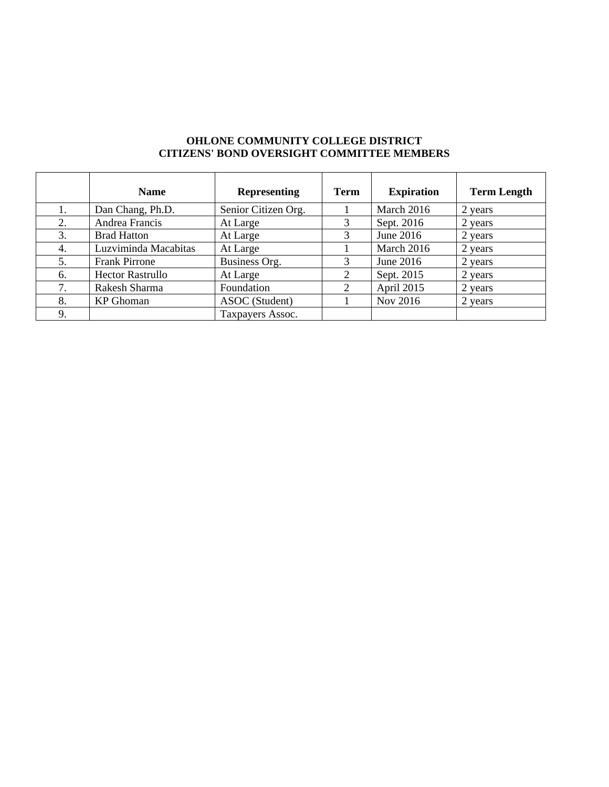|    | <b>Name</b>             | <b>Representing</b> | <b>Term</b> | <b>Expiration</b> | <b>Term Length</b> |
|----|-------------------------|---------------------|-------------|-------------------|--------------------|
|    | Dan Chang, Ph.D.        | Senior Citizen Org. |             | March 2016        | 2 years            |
| 2. | Andrea Francis          | At Large            |             | Sept. 2016        | 2 years            |
| 3. | <b>Brad Hatton</b>      | At Large            |             | June 2016         | 2 years            |
| 4. | Luzviminda Macabitas    | At Large            |             | March 2016        | 2 years            |
| 5. | <b>Frank Pirrone</b>    | Business Org.       |             | June $2016$       | 2 years            |
| 6. | <b>Hector Rastrullo</b> | At Large            |             | Sept. 2015        | 2 years            |
| 7. | Rakesh Sharma           | Foundation          | 2           | April 2015        | 2 years            |
| 8. | KP Ghoman               | ASOC (Student)      |             | Nov 2016          | 2 years            |
| 9. |                         | Taxpayers Assoc.    |             |                   |                    |

#### **OHLONE COMMUNITY COLLEGE DISTRICT CITIZENS' BOND OVERSIGHT COMMITTEE MEMBERS**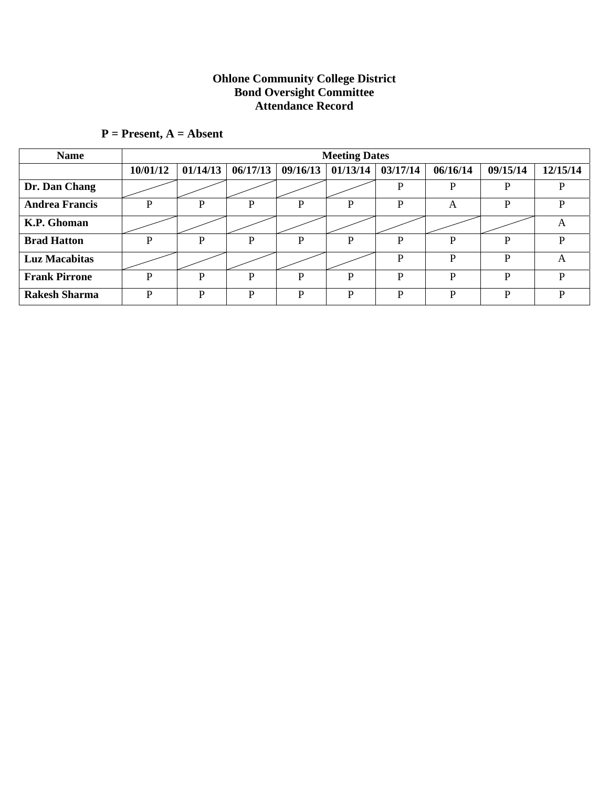#### **Ohlone Community College District Bond Oversight Committee Attendance Record**

| <b>Name</b>           |          |          |          |          | <b>Meeting Dates</b> |          |          |          |          |
|-----------------------|----------|----------|----------|----------|----------------------|----------|----------|----------|----------|
|                       | 10/01/12 | 01/14/13 | 06/17/13 | 09/16/13 | 01/13/14             | 03/17/14 | 06/16/14 | 09/15/14 | 12/15/14 |
| Dr. Dan Chang         |          |          |          |          |                      | P        | P        | P        | D        |
| <b>Andrea Francis</b> | D        | P        | P        | P        | P                    | P        | A        | P        | P        |
| K.P. Ghoman           |          |          |          |          |                      |          |          |          | A        |
| <b>Brad Hatton</b>    | D        | P        | P        | P        | P                    | P        | D        | P        | P        |
| <b>Luz Macabitas</b>  |          |          |          |          |                      | P        | D        | P        | A        |
| <b>Frank Pirrone</b>  | D        | P        | D        | D        | D                    | P        | D        | D        | P        |
| <b>Rakesh Sharma</b>  | D        | D        | D        | D        | D                    | D        | D        | D        | D        |

# **P = Present, A = Absent**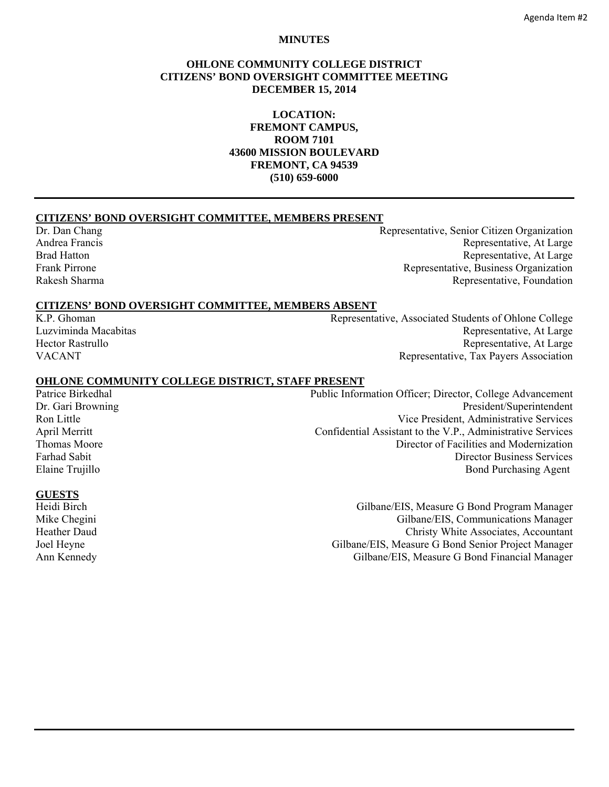#### **MINUTES**

#### **OHLONE COMMUNITY COLLEGE DISTRICT CITIZENS' BOND OVERSIGHT COMMITTEE MEETING DECEMBER 15, 2014**

**LOCATION: FREMONT CAMPUS, ROOM 7101 43600 MISSION BOULEVARD FREMONT, CA 94539 (510) 659-6000** 

#### **CITIZENS' BOND OVERSIGHT COMMITTEE, MEMBERS PRESENT**

Dr. Dan Chang Representative, Senior Citizen Organization Andrea Francis **Representative, At Large** Brad Hatton Representative, At Large Frank Pirrone **Representative, Business Organization** Rakesh Sharma **Representative, Foundation** Representative, Foundation

#### **CITIZENS' BOND OVERSIGHT COMMITTEE, MEMBERS ABSENT**

K.P. Ghoman Representative, Associated Students of Ohlone College Luzviminda Macabitas **Representative, At Large** Representative, At Large Hector Rastrullo **Representative, At Large** VACANT Representative, Tax Payers Association

#### **OHLONE COMMUNITY COLLEGE DISTRICT, STAFF PRESENT**

Patrice Birkedhal Public Information Officer; Director, College Advancement Dr. Gari Browning President/Superintendent Ron Little **No. 2. 1999** Vice President, Administrative Services April Merritt Confidential Assistant to the V.P., Administrative Services Thomas Moore **Director of Facilities and Modernization** Farhad Sabit Director Business Services Elaine Trujillo Bond Purchasing Agent

#### **GUESTS**

Heidi Birch Gilbane/EIS, Measure G Bond Program Manager Mike Chegini Gilbane/EIS, Communications Manager Heather Daud Christy White Associates, Accountant Joel Heyne Gilbane/EIS, Measure G Bond Senior Project Manager<br>Ann Kennedy Gilbane/EIS, Measure G Bond Financial Manager Gilbane/EIS, Measure G Bond Financial Manager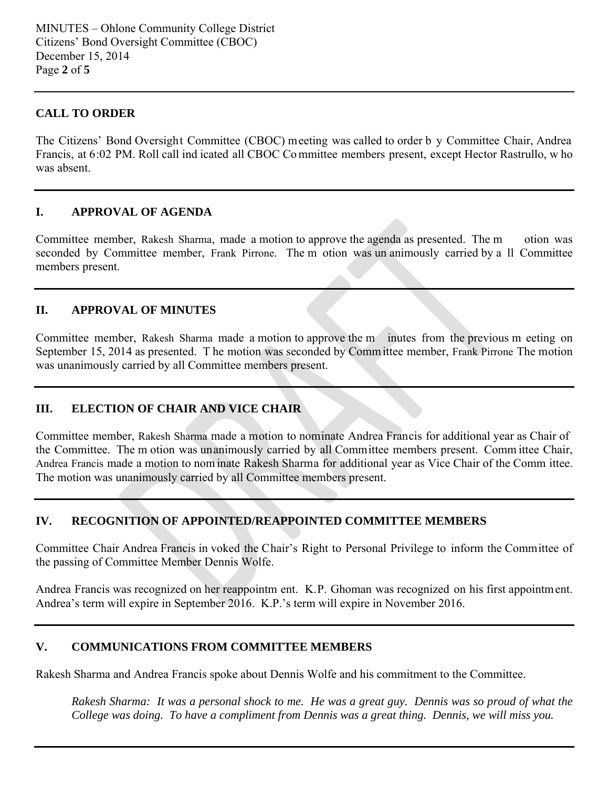# **CALL TO ORDER**

The Citizens' Bond Oversight Committee (CBOC) meeting was called to order b y Committee Chair, Andrea Francis, at 6:02 PM. Roll call ind icated all CBOC Committee members present, except Hector Rastrullo, w ho was absent.

# **I. APPROVAL OF AGENDA**

Committee member, Rakesh Sharma, made a motion to approve the agenda as presented. The m otion was seconded by Committee member, Frank Pirrone. The m otion was un animously carried by a ll Committee members present.

# **II. APPROVAL OF MINUTES**

Committee member, Rakesh Sharma made a motion to approve the m inutes from the previous m eeting on September 15, 2014 as presented. T he motion was seconded by Comm ittee member, Frank Pirrone The motion was unanimously carried by all Committee members present.

# **III. ELECTION OF CHAIR AND VICE CHAIR**

Committee member, Rakesh Sharma made a motion to nominate Andrea Francis for additional year as Chair of the Committee. The m otion was unanimously carried by all Committee members present. Comm ittee Chair, Andrea Francis made a motion to nom inate Rakesh Sharma for additional year as Vice Chair of the Comm ittee. The motion was unanimously carried by all Committee members present.

# **IV. RECOGNITION OF APPOINTED/REAPPOINTED COMMITTEE MEMBERS**

Committee Chair Andrea Francis in voked the Chair's Right to Personal Privilege to inform the Committee of the passing of Committee Member Dennis Wolfe.

Andrea Francis was recognized on her reappointm ent. K.P. Ghoman was recognized on his first appointment. Andrea's term will expire in September 2016. K.P.'s term will expire in November 2016.

# **V. COMMUNICATIONS FROM COMMITTEE MEMBERS**

Rakesh Sharma and Andrea Francis spoke about Dennis Wolfe and his commitment to the Committee.

*Rakesh Sharma: It was a personal shock to me. He was a great guy. Dennis was so proud of what the College was doing. To have a compliment from Dennis was a great thing. Dennis, we will miss you.*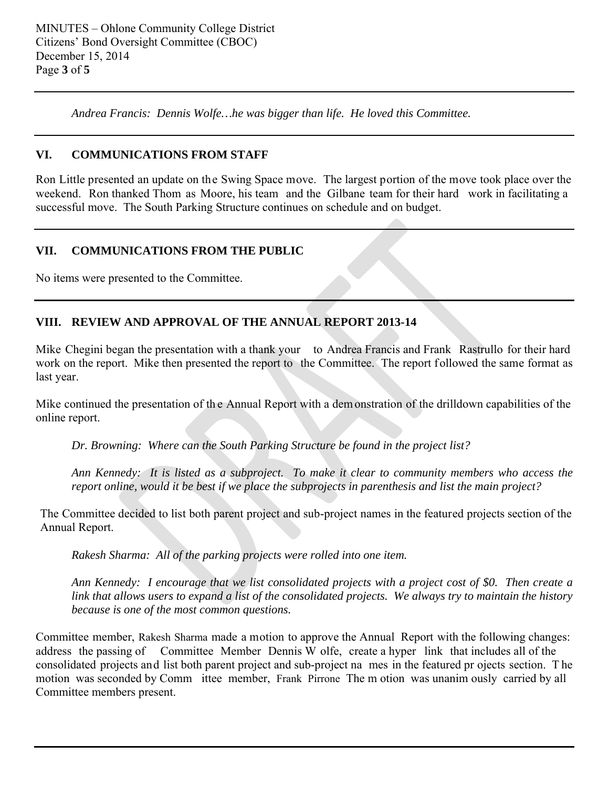*Andrea Francis: Dennis Wolfe…he was bigger than life. He loved this Committee.* 

# **VI. COMMUNICATIONS FROM STAFF**

Ron Little presented an update on the Swing Space move. The largest portion of the move took place over the weekend. Ron thanked Thom as Moore, his team and the Gilbane team for their hard work in facilitating a successful move. The South Parking Structure continues on schedule and on budget.

# **VII. COMMUNICATIONS FROM THE PUBLIC**

No items were presented to the Committee.

# **VIII. REVIEW AND APPROVAL OF THE ANNUAL REPORT 2013-14**

Mike Chegini began the presentation with a thank your to Andrea Francis and Frank Rastrullo for their hard work on the report. Mike then presented the report to the Committee. The report followed the same format as last year.

Mike continued the presentation of th e Annual Report with a dem onstration of the drilldown capabilities of the online report.

*Dr. Browning: Where can the South Parking Structure be found in the project list?* 

*Ann Kennedy: It is listed as a subproject. To make it clear to community members who access the report online, would it be best if we place the subprojects in parenthesis and list the main project?* 

The Committee decided to list both parent project and sub-project names in the featured projects section of the Annual Report.

*Rakesh Sharma: All of the parking projects were rolled into one item.* 

*Ann Kennedy: I encourage that we list consolidated projects with a project cost of \$0. Then create a link that allows users to expand a list of the consolidated projects. We always try to maintain the history because is one of the most common questions.*

Committee member, Rakesh Sharma made a motion to approve the Annual Report with the following changes: address the passing of Committee Member Dennis W olfe, create a hyper link that includes all of the consolidated projects and list both parent project and sub-project na mes in the featured pr ojects section. T he motion was seconded by Comm ittee member, Frank Pirrone The m otion was unanim ously carried by all Committee members present.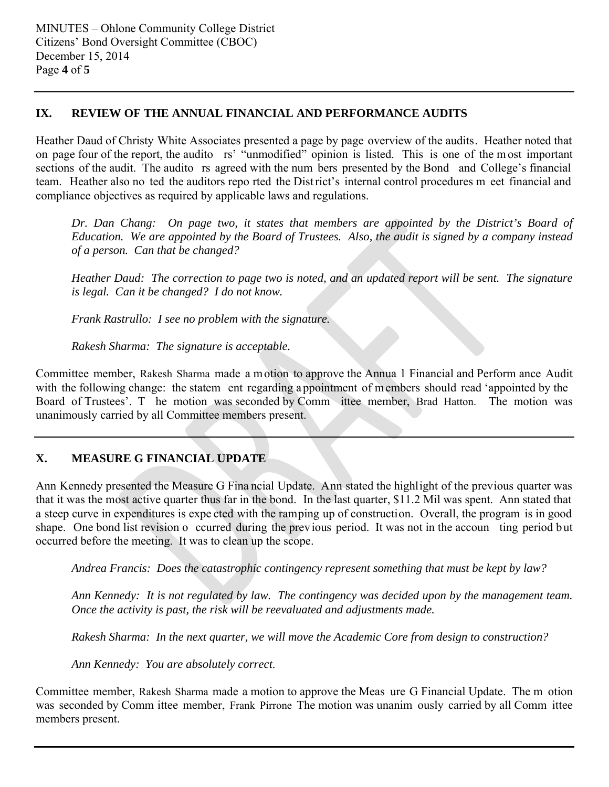# **IX. REVIEW OF THE ANNUAL FINANCIAL AND PERFORMANCE AUDITS**

Heather Daud of Christy White Associates presented a page by page overview of the audits. Heather noted that on page four of the report, the audito rs' "unmodified" opinion is listed. This is one of the m ost important sections of the audit. The audito rs agreed with the num bers presented by the Bond and College's financial team. Heather also no ted the auditors repo rted the District's internal control procedures m eet financial and compliance objectives as required by applicable laws and regulations.

*Dr. Dan Chang: On page two, it states that members are appointed by the District's Board of Education. We are appointed by the Board of Trustees. Also, the audit is signed by a company instead of a person. Can that be changed?* 

*Heather Daud: The correction to page two is noted, and an updated report will be sent. The signature is legal. Can it be changed? I do not know.* 

*Frank Rastrullo: I see no problem with the signature.* 

*Rakesh Sharma: The signature is acceptable.* 

Committee member, Rakesh Sharma made a m otion to approve the Annua l Financial and Perform ance Audit with the following change: the statem ent regarding appointment of members should read 'appointed by the Board of Trustees'. T he motion was seconded by Comm ittee member, Brad Hatton. The motion was unanimously carried by all Committee members present.

# **X. MEASURE G FINANCIAL UPDATE**

Ann Kennedy presented the Measure G Fina ncial Update. Ann stated the highlight of the previous quarter was that it was the most active quarter thus far in the bond. In the last quarter, \$11.2 Mil was spent. Ann stated that a steep curve in expenditures is expe cted with the ramping up of construction. Overall, the program is in good shape. One bond list revision o ccurred during the previous period. It was not in the accoun ting period but occurred before the meeting. It was to clean up the scope.

*Andrea Francis: Does the catastrophic contingency represent something that must be kept by law?* 

*Ann Kennedy: It is not regulated by law. The contingency was decided upon by the management team. Once the activity is past, the risk will be reevaluated and adjustments made.* 

*Rakesh Sharma: In the next quarter, we will move the Academic Core from design to construction?* 

*Ann Kennedy: You are absolutely correct*.

Committee member, Rakesh Sharma made a motion to approve the Meas ure G Financial Update. The m otion was seconded by Comm ittee member, Frank Pirrone The motion was unanim ously carried by all Comm ittee members present.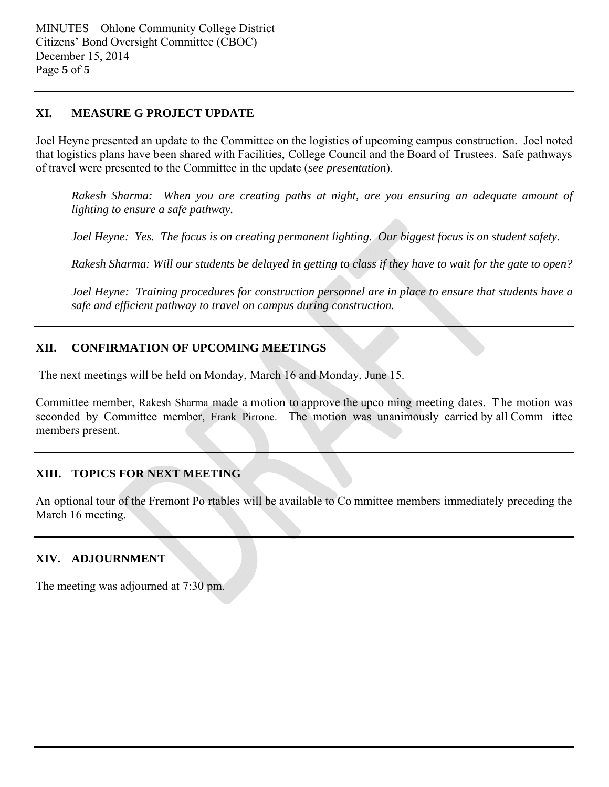#### **XI. MEASURE G PROJECT UPDATE**

Joel Heyne presented an update to the Committee on the logistics of upcoming campus construction. Joel noted that logistics plans have been shared with Facilities, College Council and the Board of Trustees. Safe pathways of travel were presented to the Committee in the update (*see presentation*).

*Rakesh Sharma: When you are creating paths at night, are you ensuring an adequate amount of lighting to ensure a safe pathway.* 

*Joel Heyne: Yes. The focus is on creating permanent lighting. Our biggest focus is on student safety.* 

*Rakesh Sharma: Will our students be delayed in getting to class if they have to wait for the gate to open?* 

*Joel Heyne: Training procedures for construction personnel are in place to ensure that students have a safe and efficient pathway to travel on campus during construction.* 

# **XII. CONFIRMATION OF UPCOMING MEETINGS**

The next meetings will be held on Monday, March 16 and Monday, June 15.

Committee member, Rakesh Sharma made a motion to approve the upco ming meeting dates. T he motion was seconded by Committee member, Frank Pirrone. The motion was unanimously carried by all Comm ittee members present.

# **XIII. TOPICS FOR NEXT MEETING**

An optional tour of the Fremont Po rtables will be available to Co mmittee members immediately preceding the March 16 meeting.

# **XIV. ADJOURNMENT**

The meeting was adjourned at 7:30 pm.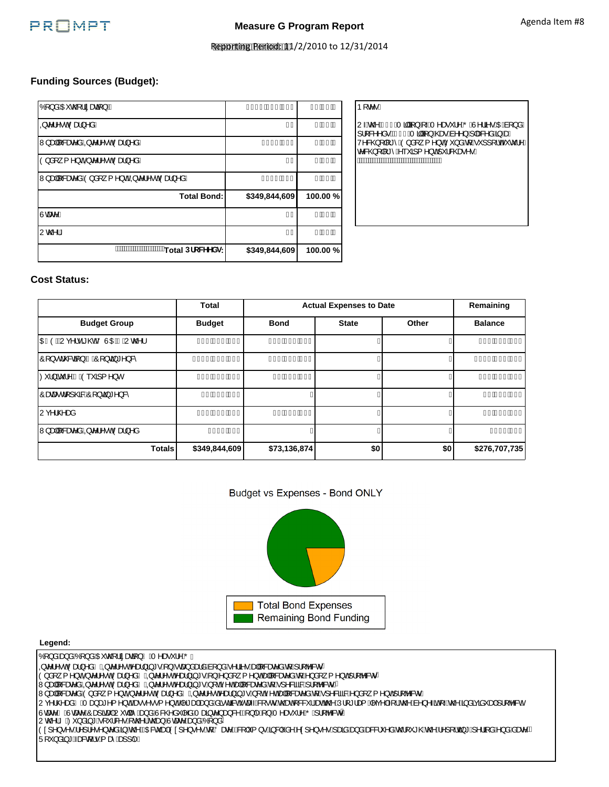

# Measure G Program Report<br>Reporting Period: 11/2014 Agenda Item #8

#### **Funding Sources (Budget):**

| Total DfcWYYXq:                                                         | \$349,844,609             | 100.00%      |
|-------------------------------------------------------------------------|---------------------------|--------------|
| Uc@IK                                                                   | Å€l                       | €È€€Ä        |
| Ugae <sup>N</sup> K                                                     | Å€l                       | €È€€ÄÑ       |
| <b>Total Bond:</b>                                                      | \$349,844,609             | 100.00%      |
| Wjæ  &æz^åÁÒ}å[ { ^}o¼ÁQpc^¦^•oÁÒæ}^åK                                  | ÅIH∪Êt€H                  | €ÈFHÄÑ       |
| O}å[ { ^} σ $\Phi$ σ'   ^ • σ $\Phi$ σθε} ^ åK                          | Å€l                       | €È€€Ä        |
| W}æ∥l&ær^åÁQQc^¦^∙oÁÒæ}^åK                                              | Ål€IÊl€Ï                  | €ÈFG∰        |
| Qc^¦^•o(Qod}^åK                                                         | Å€l                       | €È€€Ä        |
| $\hat{O}$ [ } å $\hat{A}$ OE $\hat{O}$ $\hat{Q}$ ¦ ã æva $\hat{a}$ } kÁ | ÅHIJÊ <del>EEEÊEE</del> E | <b>JJËÎÃ</b> |

| Þ[ c∿∙K                                                                                                                                  |
|------------------------------------------------------------------------------------------------------------------------------------------|
| U Áo ZÁN €ÁT ā ā}}Á, ÁT ^æ , ¦^ÁÖ ÁU^¦ã •ÁDÁN [}åÁ<br>1 8 ^ ^ å • BÅF€ÁT alla} ) Á @ e Áà ^ ^ } Á Jæ& ^ å Á§ ÁæÁ<br>{^}oÁ`'¦&@æe^∙È<br>Έ |
|                                                                                                                                          |

#### **Cost Status:**

|                             | <b>Total</b>          |                 | <b>Actual Expenses to Date</b> |       | Remaining              |
|-----------------------------|-----------------------|-----------------|--------------------------------|-------|------------------------|
| <b>Budget Group</b>         | <b>Budget</b>         | <b>Bond</b>     | <b>State</b>                   | Other | <b>Balance</b>         |
| OBÒBÃJc^¦∙ã@BÃÖÙOBÁSÁJc@^¦  | ÅÍ FÊFÏ JÊJÌ          | ÅFÌ ÊGFFÊJÎ Ï   |                                |       | ÅHGÊJÎ Ì ÊEGF          |
| ଠି[}∙dଁ&2ã[}ÁBÁଠି[}⊘ã,*^}&՞ | Å GÍ I ÊI HJÊ JÍ      | ÅIÎ ÊEÌ HÊJFÎ   |                                |       | ÅGFFÉLÍÍ ĐIJ           |
|                             | ÅGEÊJI Í ÊGÎ Î        | <b>A Ê JÊ G</b> |                                |       | ÅFÎ ÊLÍ Í ÊH G         |
| ଠିææ•d[]@&AÔ[}cã)*^}&^      | ÅÍ <del>É ∈€Ê∈∈</del> |                 |                                |       | ÅÍ <del>ÉI €€Ê€€</del> |
| lUc^¦@^æå                   | ÅFHÊH ÊÍ€             | ÅI ÊLÍ FÊ EÎ Ï  |                                |       | ÀÌ ÊDÌ HẾ Ì H          |
| W}æ∥[&æe^åÁQkc^¦^∙oÁÒæ}^å   | <b>ÅÌIIĒ€J</b>        |                 |                                |       | ÅÌIIÊ€J                |
| <b>Totals</b>               | \$349,844,609         | \$73,136,874    | \$0                            | \$0   | \$276,707,735          |





#### **Legend:**

Ó [}åÁæ}åÁÓ [}åÁŒ co2]¦ãæqã }ÁMÁT^æe \*¦^ÁÕÁ Qw¦^•o(Òæ}^åÁMQw¦^•oÁæ}ã\*•Á}Áœa}åælåÁa[}åÁ^¦ã•Áæ∥&ævåÁa[Á][b&ov O}å[¸{^}o40Qc^¦^●o4Oæ}^åAMAQc^¦^●o4^æ}ð}\*●Å}Å}å[¸{^}o4e+|[&æe^åAq{A^}å[¸{^}o4}¦[b^&or W,ae||&aae^åÁQQc^¦^•oÁOae}^åÁMÁQQc^¦^•oÁ^ae}}ã,\*•Á,[oÁ^o&e||&aae^åÁq{Á\_]^&ã&BÁ}¦b&orB Wyaa∥[&aae^åÁÓ)å[ˌ{^}óÁQoc¦^•óÓcae}^åÁMÁQoc¦^•óÁcae}ã"•Á[oÁ^óÁa†|&aae^åÁq{Á]^&ãa&Á}å[ˌ{^}oÁ¦[b&o∙Á Uç^¦@aniAnATagaz^{^}dàso•^••{^}dàn^\*aqhagankadachaa=hQork@anh{&&`|haah@AU|[\*|aq Arç^|Aq{k@ha^}^anh{n@Agaaxanhilb&ch Ùœae^ÁMÙœae^ÁÔæ]ãœa|ÁU~dæ^Áæ)åÁÙ&@^å~|^åÁTæjãc^}æ}&^ÁQ{}|^Á{}ÁT^æe~'¦^ÁÕÁ¦[b^&o^Æ Uc@lÁMAOY}åãj\*Ă['l&^∙Ă(c@lÁc@ea)ÁUcaec^Aaa)åÁÓ[}å/ Ò¢]^}•^•Á^]¦^•^}c^åÁ§Á@ÄŒBčæHÔ¢]^}•^•Á{ÁÖæ≌^Ä&[|´{}•Á§&|`å^Ár¢]^}•^•Á,æãáæ}åÁæ&&\`^åÁr@[`\*@Ác@Á^][¦œ}\*Áj^¦ą̃åÁ^}åÁäæe^Ä Ü[ˇ}åã}\*Áæ&d¦∙Á(æîÁæ]]|^Á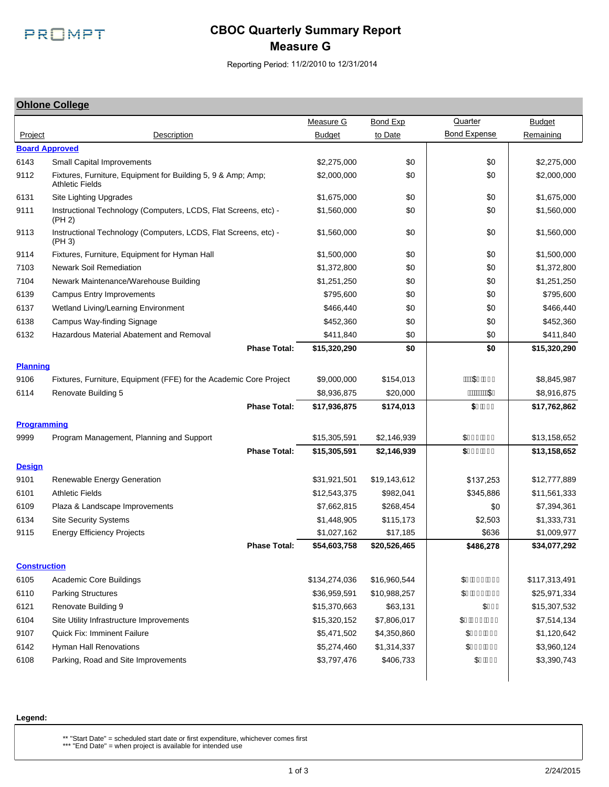

# **CBOC Quarterly Summary Report Measure G**

Reporting Period: 11/2/2010 to 12/31/2014

#### **Ohlone College**

|                       |                                                                                        | Measure G     | Bond Exp              | Quarter             | <b>Budget</b> |
|-----------------------|----------------------------------------------------------------------------------------|---------------|-----------------------|---------------------|---------------|
| Project               | Description                                                                            | <b>Budget</b> | to Date               | <b>Bond Expense</b> | Remaining     |
| <b>Board Approved</b> |                                                                                        |               |                       |                     |               |
| 6143                  | Small Capital Improvements                                                             | \$2,275,000   | \$0                   | \$0                 | \$2,275,000   |
| 9112                  | Fixtures, Furniture, Equipment for Building 5, 9 & Amp; Amp;<br><b>Athletic Fields</b> | \$2,000,000   | \$0                   | \$0                 | \$2,000,000   |
| 6131                  | Site Lighting Upgrades                                                                 | \$1,675,000   | \$0                   | \$0                 | \$1,675,000   |
| 9111                  | Instructional Technology (Computers, LCDS, Flat Screens, etc) -<br>(PH 2)              | \$1,560,000   | \$0                   | \$0                 | \$1,560,000   |
| 9113                  | Instructional Technology (Computers, LCDS, Flat Screens, etc) -<br>(PH 3)              | \$1,560,000   | \$0                   | \$0                 | \$1,560,000   |
| 9114                  | Fixtures, Furniture, Equipment for Hyman Hall                                          | \$1,500,000   | \$0                   | \$0                 | \$1,500,000   |
| 7103                  | <b>Newark Soil Remediation</b>                                                         | \$1,372,800   | \$0                   | \$0                 | \$1,372,800   |
| 7104                  | Newark Maintenance/Warehouse Building                                                  | \$1,251,250   | \$0                   | \$0                 | \$1,251,250   |
| 6139                  | <b>Campus Entry Improvements</b>                                                       | \$795,600     | \$0                   | \$0                 | \$795,600     |
| 6137                  | Wetland Living/Learning Environment                                                    | \$466,440     | \$0                   | \$0                 | \$466,440     |
| 6138                  | Campus Way-finding Signage                                                             | \$452,360     | \$0                   | \$0                 | \$452,360     |
| 6132                  | Hazardous Material Abatement and Removal                                               | \$411,840     | \$0                   | \$0                 | \$411,840     |
|                       | <b>Phase Total:</b>                                                                    | \$15,320,290  | \$0                   | \$0                 | \$15,320,290  |
| <b>Planning</b>       |                                                                                        |               |                       |                     |               |
| 9106                  | Fixtures, Furniture, Equipment (FFE) for the Academic Core Project                     | \$9,000,000   | \$154,013             | ÁÁÁSSHÉFÏÌ          | \$8,845,987   |
| 6114                  | Renovate Building 5                                                                    | \$8,936,875   | \$20,000              | ÁÁÁÁÁÁÁ\$€          | \$8,916,875   |
|                       | <b>Phase Total:</b>                                                                    | \$17,936,875  | \$174,013             | \$'Z/4,             | \$17,762,862  |
| <b>Programming</b>    |                                                                                        |               |                       |                     |               |
| 9999                  |                                                                                        | \$15,305,591  | \$2,146,939           | \$Í€ÎÈÈIH           | \$13,158,652  |
|                       | Program Management, Planning and Support<br><b>Phase Total:</b>                        | \$15,305,591  | \$2,146,939           | \$)\$***,'          | \$13,158,652  |
|                       |                                                                                        |               |                       |                     |               |
| <b>Design</b>         |                                                                                        |               |                       |                     |               |
| 9101                  | Renewable Energy Generation                                                            | \$31,921,501  | \$19,143,612          | \$137,253           | \$12,777,889  |
| 6101                  | <b>Athletic Fields</b>                                                                 | \$12,543,375  | \$982,041             | \$345,886           | \$11,561,333  |
| 6109                  | Plaza & Landscape Improvements                                                         | \$7,662,815   | \$268,454             | \$0                 | \$7,394,361   |
| 6134                  | <b>Site Security Systems</b>                                                           | \$1,448,905   | \$115,173<br>\$17,185 | \$2,503             | \$1,333,731   |
| 9115                  | <b>Energy Efficiency Projects</b>                                                      | \$1,027,162   |                       | \$636               | \$1,009,977   |
|                       | <b>Phase Total:</b>                                                                    | \$54,603,758  | \$20,526,465          | \$486,278           | \$34,077,292  |
| <b>Construction</b>   |                                                                                        |               |                       |                     |               |
| 6105                  | Academic Core Buildings                                                                | \$134,274,036 | \$16,960,544          | \$HÊt€€ÊtH€         | \$117,313,491 |
| 6110                  | <b>Parking Structures</b>                                                              | \$36,959,591  | \$10,988,257          | \$HÊÏIÊÎI           | \$25,971,334  |
| 6121                  | Renovate Building 9                                                                    | \$15,370,663  | \$63,131              | \$FFÍ               | \$15,307,532  |
| 6104                  | Site Utility Infrastructure Improvements                                               | \$15,320,152  | \$7,806,017           | \$GÊH€ÊÍI           | \$7,514,134   |
| 9107                  | <b>Quick Fix: Imminent Failure</b>                                                     | \$5,471,502   | \$4,350,860           | \$GJG EÏJ           | \$1,120,642   |
| 6142                  | <b>Hyman Hall Renovations</b>                                                          | \$5,274,460   | \$1,314,337           | \$FGÌ ÉGÍI          | \$3,960,124   |
| 6108                  | Parking, Road and Site Improvements                                                    | \$3,797,476   | \$406,733             | \$HÊGFÏ             | \$3,390,743   |
|                       |                                                                                        |               |                       |                     |               |

#### **Legend:**

\*\* "Start Date" = scheduled start date or first expenditure, whichever comes first \*\*\* "End Date" = when project is available for intended use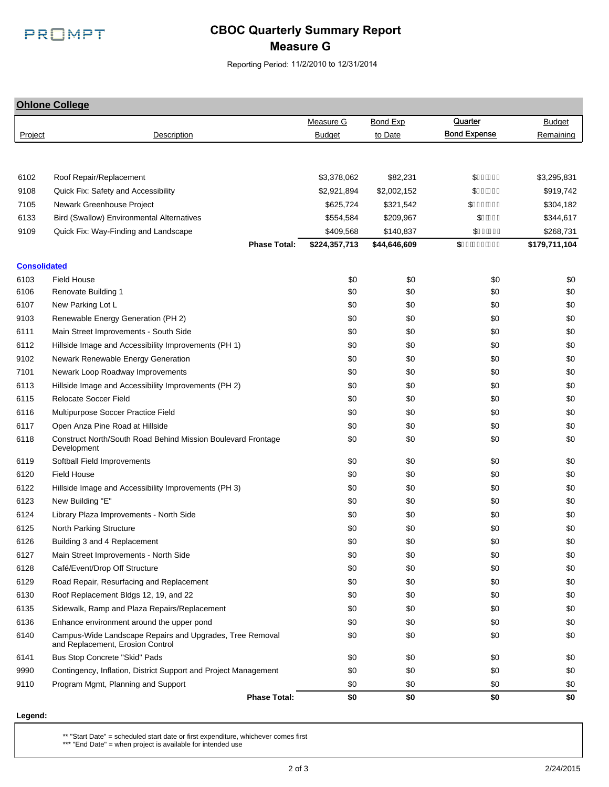

# **CBOC Quarterly Summary Report Measure G**

Reporting Period: 11/2/2010 to 12/31/2014

**Ohlone College** Measure G Bond Exp **Quarter** All Budget Project and Description Control Budget to Date Bond Expense Remaining 6106 Renovate Building 1 \$0 \$0 \$0 6107 New Parking Lot L \$0 \$0 \$0 9103 Renewable Energy Generation (PH 2) \$0 \$0 \$0 6111 Main Street Improvements - South Side \$0 \$0 \$0 6112 Hillside Image and Accessibility Improvements (PH 1)  $$0$  \$0  $$0$  \$0  $$0$  \$0 9102 Newark Renewable Energy Generation \$0 \$0 \$0 7101 Newark Loop Roadway Improvements the state of the state of the state of the state of the state of the state of the state of the state of the state of the state of the state of the state of the state of the state of th 6113 Hillside Image and Accessibility Improvements (PH 2)  $$0$  \$0  $$0$  \$0  $$0$  \$0  $$0$ 6115 Relocate Soccer Field \$0 \$0 \$0 6116 Multipurpose Soccer Practice Field \$0 \$0 \$0 6117 Open Anza Pine Road at Hillside **61 Annual 200 \$0 \$0 \$0 \$0 \$0 \$0** \$0 \$0 \$0 \$0 6118 Construct North/South Road Behind Mission Boulevard Frontage Development \$0 \$0 \$0 \$0 \$0 6119 Softball Field Improvements \$0 \$0 \$0 6120 Field House \$0 \$0 \$0 6122 Hillside Image and Accessibility Improvements (PH 3)  $$0$  \$0  $$0$  \$0  $$0$  \$0  $$0$ 6123 New Building "E" \$0 \$0 \$0 6124 Library Plaza Improvements - North Side \$0 \$0 \$0 6125 North Parking Structure \$0 \$0 \$0 6126 Building 3 and 4 Replacement the state of the state of the state of the state of the state of the state of the state of the state of the state of the state of the state of the state of the state of the state of the st 6127 Main Street Improvements - North Side \$0 \$0 \$0 6128 Café/Event/Drop Off Structure \$0 \$0 \$0 6129 Road Repair, Resurfacing and Replacement 60 to the state of the state of the state of the state of the state of the state of the state of the state of the state of the state of the state of the state of the state of t 6130 Roof Replacement Bldgs 12, 19, and 22 \$0 \$0 \$0 6135 Sidewalk, Ramp and Plaza Repairs/Replacement \$0 \$0 \$0 6136 Enhance environment around the upper pond the series were series to the series of the series of the series so that series are series to the series of the series of the series of the series of the series of the series 6140 Campus-Wide Landscape Repairs and Upgrades, Tree Removal and Replacement, Erosion Control \$0 \$0 \$0 \$0 \$0 6141 Bus Stop Concrete "Skid" Pads \$0 \$0 \$0 9990 Contingency, Inflation, District Support and Project Management \$0 \$0 \$0 \$0 \$0 \$0 \$0 9110 Program Mgmt, Planning and Support \$0 \$0 \$0 **Phase Total: \$0 \$0 \$0 Consolidated** 6103 Field House \$0 \$0 \$0 6102 Roof Repair/Replacement 12 - 12 - 12 - 13,378,062 \$3,378,062 \$82,231 \$41 Bill \$3,295,831 9108 Quick Fix: Safety and Accessibility **62.021,894** \$2,921,894 \$2,002,152 \$919,742 7105 Newark Greenhouse Project \$625,724 \$321,542 \$304,182 6133 Bird (Swallow) Environmental Alternatives 6554,584 \$209,967 \$344,617 9109 Quick Fix: Way-Finding and Landscape (\$109,568 \$140,837 \$140,837 \$268,731 \$268,731 **Phase Total: \$224,357,713 \$44,646,609 \$179,711,104 Quarter** Bond Expense SHIÊÌI \$JGËÏÌ \$G €Ê €Ì  $$if \oplus \in$ \$FGÊJ€Ì **\$%%&% 2%%** \$0 \$0 \$0 \$0 \$0 \$0 \$0 \$0 \$0 \$0 \$0 \$0 \$0 \$0 \$0 \$0 \$0 \$0 \$0 \$0 \$0 \$0 \$0 \$0 \$0 \$0 \$0 \$0 \$0 **\$0** \$0

#### **Legend:**

\*\* "Start Date" = scheduled start date or first expenditure, whichever comes first

\*\*\* "End Date" = when project is available for intended use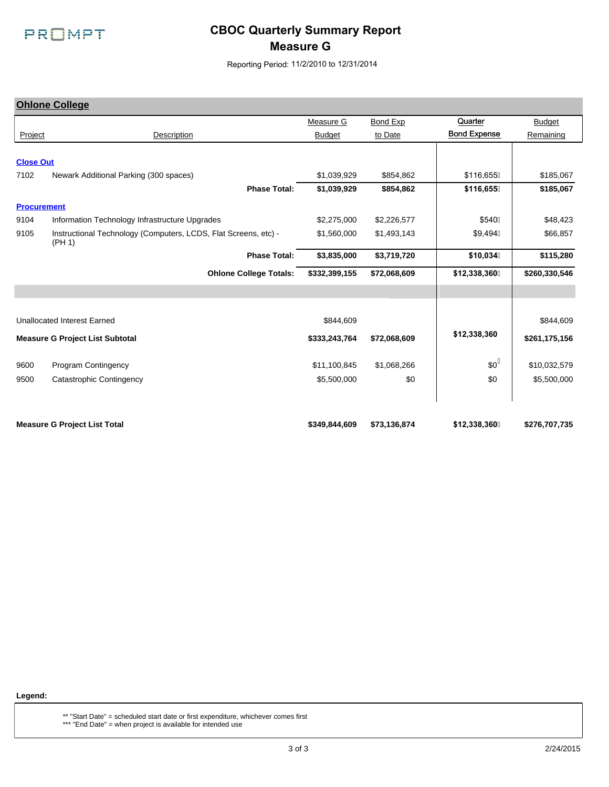

# **CBOC Quarterly Summary Report Measure G**

Reporting Period: 11/2/2010 to 12/31/2014

|                    | <b>Ohlone College</b>                                                     |               |              |                     |               |
|--------------------|---------------------------------------------------------------------------|---------------|--------------|---------------------|---------------|
|                    |                                                                           | Measure G     | Bond Exp     | Quarter             | <b>Budget</b> |
| Project            | Description                                                               | <b>Budget</b> | to Date      | <b>Bond Expense</b> | Remaining     |
|                    |                                                                           |               |              |                     |               |
| <b>Close Out</b>   |                                                                           |               |              |                     |               |
| 7102               | Newark Additional Parking (300 spaces)                                    | \$1,039,929   | \$854,862    | \$116,655A          | \$185,067     |
|                    | <b>Phase Total:</b>                                                       | \$1,039,929   | \$854,862    | \$116,655           | \$185,067     |
| <b>Procurement</b> |                                                                           |               |              |                     |               |
| 9104               | Information Technology Infrastructure Upgrades                            | \$2,275,000   | \$2,226,577  | \$540A              | \$48,423      |
| 9105               | Instructional Technology (Computers, LCDS, Flat Screens, etc) -<br>(PH 1) | \$1,560,000   | \$1,493,143  | \$9,494A            | \$66,857      |
|                    | <b>Phase Total:</b>                                                       | \$3,835,000   | \$3,719,720  | \$10,034            | \$115,280     |
|                    | <b>Ohlone College Totals:</b>                                             | \$332,399,155 | \$72,068,609 | \$12,338,360        | \$260,330,546 |
|                    |                                                                           |               |              |                     |               |
|                    |                                                                           |               |              |                     |               |
|                    | <b>Unallocated Interest Earned</b>                                        | \$844,609     |              |                     | \$844,609     |
|                    | <b>Measure G Project List Subtotal</b>                                    | \$333,243,764 | \$72,068,609 | \$12,338,360        | \$261,175,156 |
| 9600               | Program Contingency                                                       | \$11,100,845  | \$1,068,266  | $$0^{\text{A}}$$    | \$10,032,579  |
| 9500               | Catastrophic Contingency                                                  | \$5,500,000   | \$0          | \$0                 | \$5,500,000   |
|                    |                                                                           |               |              |                     |               |
|                    | <b>Measure G Project List Total</b>                                       | \$349,844,609 | \$73,136,874 | \$12,338,360        | \$276,707,735 |

**Legend:**

\*\* "Start Date" = scheduled start date or first expenditure, whichever comes first \*\*\* "End Date" = when project is available for intended use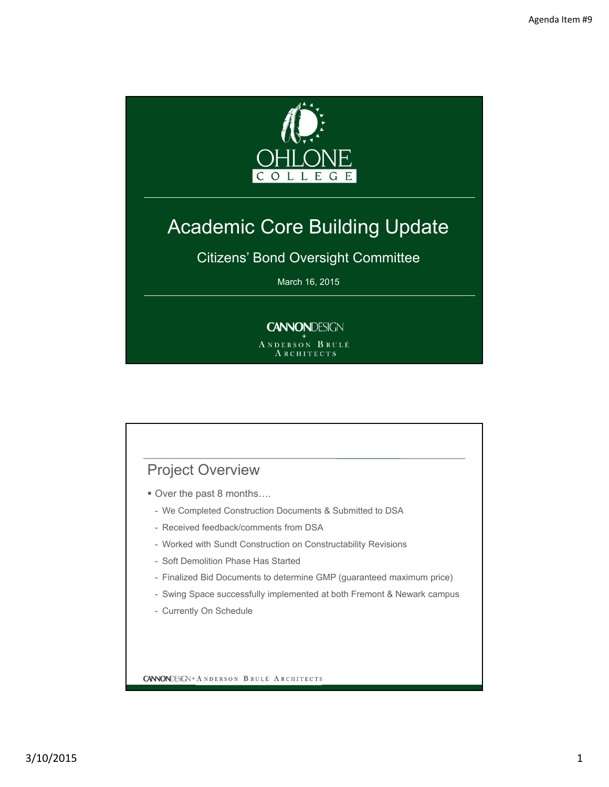

# Academic Core Building Update

Citizens' Bond Oversight Committee

March 16, 2015

# **CANNONDESIGN**

ANDERSON BRULÉ ARCHITECTS

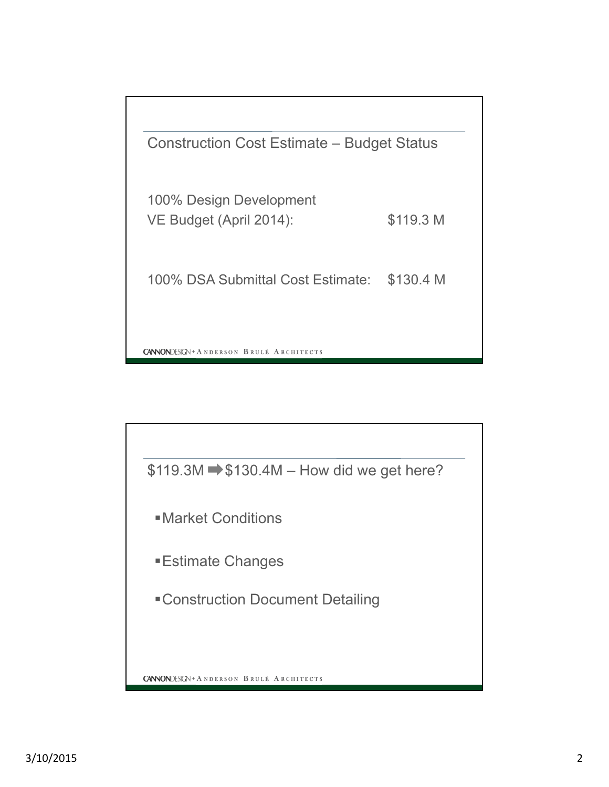

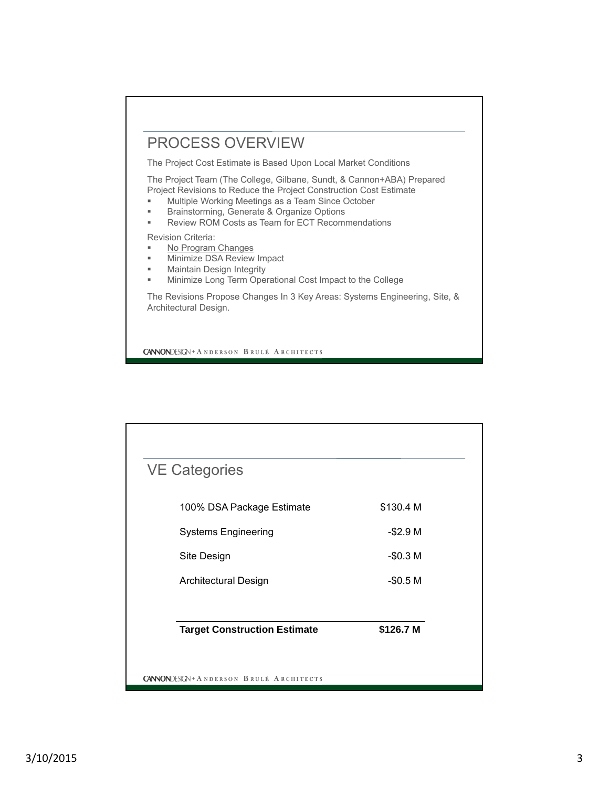# PROCESS OVERVIEW

The Project Cost Estimate is Based Upon Local Market Conditions

The Project Team (The College, Gilbane, Sundt, & Cannon+ABA) Prepared Project Revisions to Reduce the Project Construction Cost Estimate

- **Multiple Working Meetings as a Team Since October**
- Brainstorming, Generate & Organize Options
- Review ROM Costs as Team for ECT Recommendations

Revision Criteria:

- No Program Changes
- Minimize DSA Review Impact
- **Maintain Design Integrity**
- Minimize Long Term Operational Cost Impact to the College

The Revisions Propose Changes In 3 Key Areas: Systems Engineering, Site, & Architectural Design.

**CANNONDESIGN + ANDERSON BRULÉ ARCHITECTS** 

| <b>VE Categories</b>                |           |
|-------------------------------------|-----------|
| 100% DSA Package Estimate           | \$130.4 M |
| <b>Systems Engineering</b>          | $-$2.9M$  |
| Site Design                         | $-$0.3M$  |
| <b>Architectural Design</b>         | $-$0.5 M$ |
| <b>Target Construction Estimate</b> | \$126.7 M |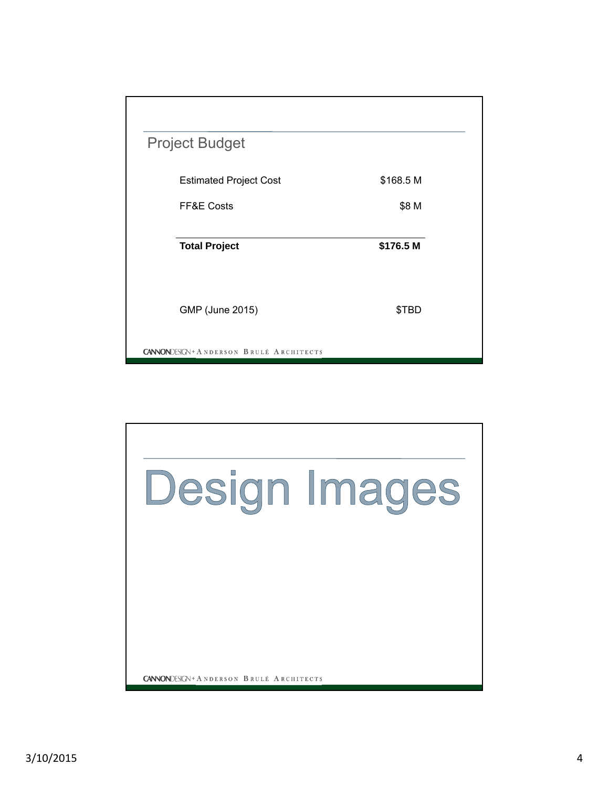| <b>Project Budget</b>                             |           |  |
|---------------------------------------------------|-----------|--|
| <b>Estimated Project Cost</b>                     | \$168.5 M |  |
| FF&E Costs                                        | \$8 M     |  |
| <b>Total Project</b>                              | \$176.5 M |  |
| GMP (June 2015)                                   | \$TBD     |  |
| <b>CANNON</b> DESIGN + A NDERSON BRULÉ ARCHITECTS |           |  |